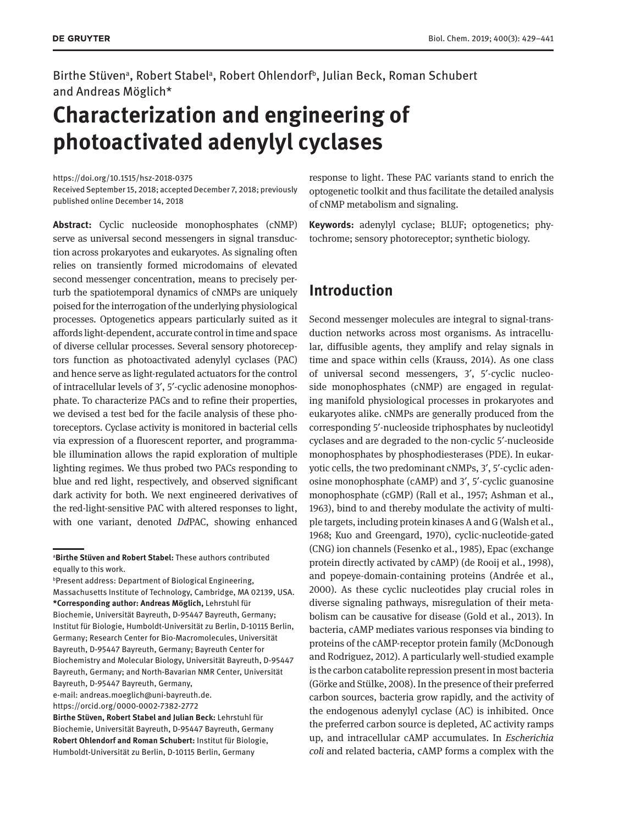Birthe Stüven<sup>a</sup>, Robert Stabel<sup>a</sup>, Robert Ohlendorf<sup>b</sup>, Julian Beck, Roman Schubert and Andreas Möglich\*

# **Characterization and engineering of photoactivated adenylyl cyclases**

<https://doi.org/10.1515/hsz-2018-0375>

Received September 15, 2018; accepted December 7, 2018; previously published online December 14, 2018

**Abstract:** Cyclic nucleoside monophosphates (cNMP) serve as universal second messengers in signal transduction across prokaryotes and eukaryotes. As signaling often relies on transiently formed microdomains of elevated second messenger concentration, means to precisely perturb the spatiotemporal dynamics of cNMPs are uniquely poised for the interrogation of the underlying physiological processes. Optogenetics appears particularly suited as it affords light-dependent, accurate control in time and space of diverse cellular processes. Several sensory photoreceptors function as photoactivated adenylyl cyclases (PAC) and hence serve as light-regulated actuators for the control of intracellular levels of 3′, 5′-cyclic adenosine monophosphate. To characterize PACs and to refine their properties, we devised a test bed for the facile analysis of these photoreceptors. Cyclase activity is monitored in bacterial cells via expression of a fluorescent reporter, and programmable illumination allows the rapid exploration of multiple lighting regimes. We thus probed two PACs responding to blue and red light, respectively, and observed significant dark activity for both. We next engineered derivatives of the red-light-sensitive PAC with altered responses to light, with one variant, denoted *Dd*PAC, showing enhanced

e-mail: [andreas.moeglich@uni-bayreuth.de.](mailto:andreas.moeglich@uni-bayreuth.de) <https://orcid.org/0000-0002-7382-2772>

response to light. These PAC variants stand to enrich the optogenetic toolkit and thus facilitate the detailed analysis of cNMP metabolism and signaling.

**Keywords:** adenylyl cyclase; BLUF; optogenetics; phytochrome; sensory photoreceptor; synthetic biology.

# **Introduction**

Second messenger molecules are integral to signal-transduction networks across most organisms. As intracellular, diffusible agents, they amplify and relay signals in time and space within cells (Krauss, 2014). As one class of universal second messengers, 3′, 5′-cyclic nucleoside monophosphates (cNMP) are engaged in regulating manifold physiological processes in prokaryotes and eukaryotes alike. cNMPs are generally produced from the corresponding 5′-nucleoside triphosphates by nucleotidyl cyclases and are degraded to the non-cyclic 5′-nucleoside monophosphates by phosphodiesterases (PDE). In eukaryotic cells, the two predominant cNMPs, 3′, 5′-cyclic adenosine monophosphate (cAMP) and 3′, 5′-cyclic guanosine monophosphate (cGMP) (Rall et al., 1957; Ashman et al., 1963), bind to and thereby modulate the activity of multiple targets, including protein kinases A and G (Walsh et al., 1968; Kuo and Greengard, 1970), cyclic-nucleotide-gated (CNG) ion channels (Fesenko et al., 1985), Epac (exchange protein directly activated by cAMP) (de Rooij et al., 1998), and popeye-domain-containing proteins (Andrée et al., 2000). As these cyclic nucleotides play crucial roles in diverse signaling pathways, misregulation of their metabolism can be causative for disease (Gold et al., 2013). In bacteria, cAMP mediates various responses via binding to proteins of the cAMP-receptor protein family (McDonough and Rodriguez, 2012). A particularly well-studied example is the carbon catabolite repression present in most bacteria (Görke and Stülke, 2008). In the presence of their preferred carbon sources, bacteria grow rapidly, and the activity of the endogenous adenylyl cyclase (AC) is inhibited. Once the preferred carbon source is depleted, AC activity ramps up, and intracellular cAMP accumulates. In *Escherichia coli* and related bacteria, cAMP forms a complex with the

a **Birthe Stüven and Robert Stabel:** These authors contributed equally to this work.

b Present address: Department of Biological Engineering, Massachusetts Institute of Technology, Cambridge, MA 02139, USA. **\*Corresponding author: Andreas Möglich,** Lehrstuhl für Biochemie, Universität Bayreuth, D-95447 Bayreuth, Germany; Institut für Biologie, Humboldt-Universität zu Berlin, D-10115 Berlin, Germany; Research Center for Bio-Macromolecules, Universität Bayreuth, D-95447 Bayreuth, Germany; Bayreuth Center for Biochemistry and Molecular Biology, Universität Bayreuth, D-95447 Bayreuth, Germany; and North-Bavarian NMR Center, Universität Bayreuth, D-95447 Bayreuth, Germany,

**Birthe Stüven, Robert Stabel and Julian Beck:** Lehrstuhl für Biochemie, Universität Bayreuth, D-95447 Bayreuth, Germany **Robert Ohlendorf and Roman Schubert:** Institut für Biologie, Humboldt-Universität zu Berlin, D-10115 Berlin, Germany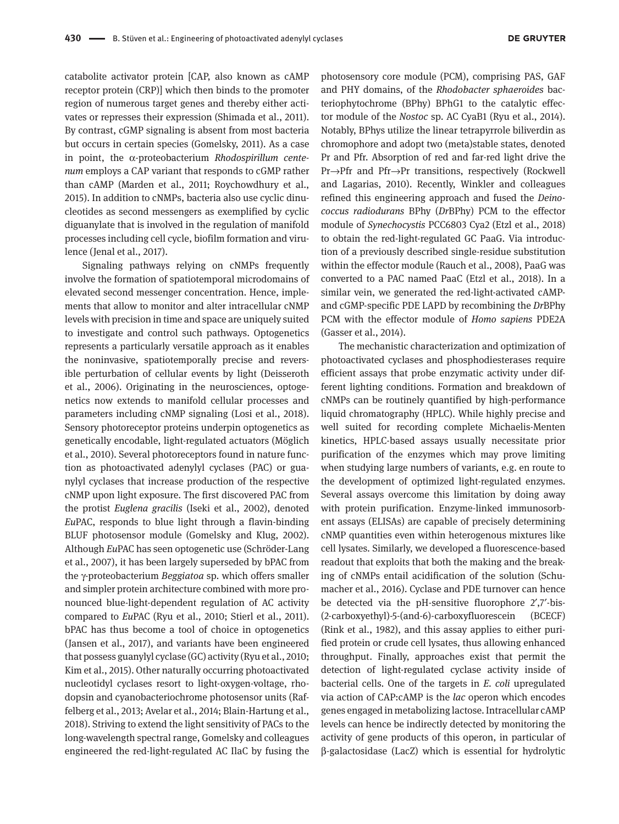catabolite activator protein [CAP, also known as cAMP receptor protein (CRP)] which then binds to the promoter region of numerous target genes and thereby either activates or represses their expression (Shimada et al., 2011). By contrast, cGMP signaling is absent from most bacteria but occurs in certain species (Gomelsky, 2011). As a case in point, the α-proteobacterium *Rhodospirillum centenum* employs a CAP variant that responds to cGMP rather than cAMP (Marden et al., 2011; Roychowdhury et al., 2015). In addition to cNMPs, bacteria also use cyclic dinucleotides as second messengers as exemplified by cyclic diguanylate that is involved in the regulation of manifold processes including cell cycle, biofilm formation and virulence (Jenal et al., 2017).

Signaling pathways relying on cNMPs frequently involve the formation of spatiotemporal microdomains of elevated second messenger concentration. Hence, implements that allow to monitor and alter intracellular cNMP levels with precision in time and space are uniquely suited to investigate and control such pathways. Optogenetics represents a particularly versatile approach as it enables the noninvasive, spatiotemporally precise and reversible perturbation of cellular events by light (Deisseroth et al., 2006). Originating in the neurosciences, optogenetics now extends to manifold cellular processes and parameters including cNMP signaling (Losi et al., 2018). Sensory photoreceptor proteins underpin optogenetics as genetically encodable, light-regulated actuators (Möglich et al., 2010). Several photoreceptors found in nature function as photoactivated adenylyl cyclases (PAC) or guanylyl cyclases that increase production of the respective cNMP upon light exposure. The first discovered PAC from the protist *Euglena gracilis* (Iseki et al., 2002), denoted *Eu*PAC, responds to blue light through a flavin-binding BLUF photosensor module (Gomelsky and Klug, 2002). Although *Eu*PAC has seen optogenetic use (Schröder-Lang et al., 2007), it has been largely superseded by bPAC from the γ-proteobacterium *Beggiatoa* sp. which offers smaller and simpler protein architecture combined with more pronounced blue-light-dependent regulation of AC activity compared to *Eu*PAC (Ryu et al., 2010; Stierl et al., 2011). bPAC has thus become a tool of choice in optogenetics (Jansen et al., 2017), and variants have been engineered that possess guanylyl cyclase (GC) activity (Ryu et al., 2010; Kim et al., 2015). Other naturally occurring photoactivated nucleotidyl cyclases resort to light-oxygen-voltage, rhodopsin and cyanobacteriochrome photosensor units (Raffelberg et al., 2013; Avelar et al., 2014; Blain-Hartung et al., 2018). Striving to extend the light sensitivity of PACs to the long-wavelength spectral range, Gomelsky and colleagues engineered the red-light-regulated AC IlaC by fusing the

photosensory core module (PCM), comprising PAS, GAF and PHY domains, of the *Rhodobacter sphaeroides* bacteriophytochrome (BPhy) BPhG1 to the catalytic effector module of the *Nostoc* sp. AC CyaB1 (Ryu et al., 2014). Notably, BPhys utilize the linear tetrapyrrole biliverdin as chromophore and adopt two (meta)stable states, denoted Pr and Pfr. Absorption of red and far-red light drive the Pr→Pfr and Pfr→Pr transitions, respectively (Rockwell and Lagarias, 2010). Recently, Winkler and colleagues refined this engineering approach and fused the *Deinococcus radiodurans* BPhy (*Dr*BPhy) PCM to the effector module of *Synechocystis* PCC6803 Cya2 (Etzl et al., 2018) to obtain the red-light-regulated GC PaaG. Via introduction of a previously described single-residue substitution within the effector module (Rauch et al., 2008), PaaG was converted to a PAC named PaaC (Etzl et al., 2018). In a similar vein, we generated the red-light-activated cAMPand cGMP-specific PDE LAPD by recombining the *Dr*BPhy PCM with the effector module of *Homo sapiens* PDE2A (Gasser et al., 2014).

The mechanistic characterization and optimization of photoactivated cyclases and phosphodiesterases require efficient assays that probe enzymatic activity under different lighting conditions. Formation and breakdown of cNMPs can be routinely quantified by high-performance liquid chromatography (HPLC). While highly precise and well suited for recording complete Michaelis-Menten kinetics, HPLC-based assays usually necessitate prior purification of the enzymes which may prove limiting when studying large numbers of variants, e.g. en route to the development of optimized light-regulated enzymes. Several assays overcome this limitation by doing away with protein purification. Enzyme-linked immunosorbent assays (ELISAs) are capable of precisely determining cNMP quantities even within heterogenous mixtures like cell lysates. Similarly, we developed a fluorescence-based readout that exploits that both the making and the breaking of cNMPs entail acidification of the solution (Schumacher et al., 2016). Cyclase and PDE turnover can hence be detected via the pH-sensitive fluorophore 2′,7′-bis- (2-carboxyethyl)-5-(and-6)-carboxyfluorescein (BCECF) (Rink et al., 1982), and this assay applies to either purified protein or crude cell lysates, thus allowing enhanced throughput. Finally, approaches exist that permit the detection of light-regulated cyclase activity inside of bacterial cells. One of the targets in *E. coli* upregulated via action of CAP:cAMP is the *lac* operon which encodes genes engaged in metabolizing lactose. Intracellular cAMP levels can hence be indirectly detected by monitoring the activity of gene products of this operon, in particular of β-galactosidase (LacZ) which is essential for hydrolytic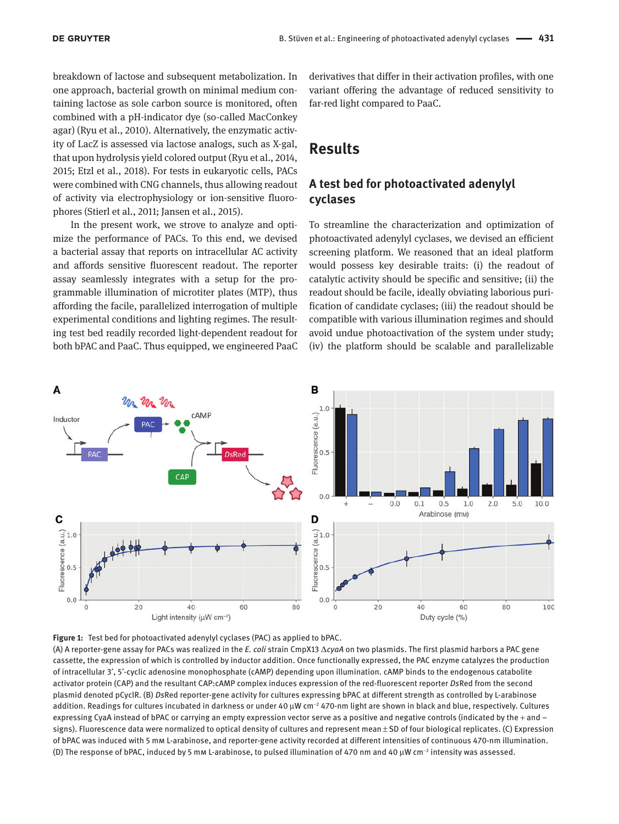breakdown of lactose and subsequent metabolization. In one approach, bacterial growth on minimal medium containing lactose as sole carbon source is monitored, often combined with a pH-indicator dye (so-called MacConkey agar) (Ryu et al., 2010). Alternatively, the enzymatic activity of LacZ is assessed via lactose analogs, such as X-gal, that upon hydrolysis yield colored output (Ryu et al., 2014, 2015; Etzl et al., 2018). For tests in eukaryotic cells, PACs were combined with CNG channels, thus allowing readout of activity via electrophysiology or ion-sensitive fluorophores (Stierl et al., 2011; Jansen et al., 2015).

In the present work, we strove to analyze and optimize the performance of PACs. To this end, we devised a bacterial assay that reports on intracellular AC activity and affords sensitive fluorescent readout. The reporter assay seamlessly integrates with a setup for the programmable illumination of microtiter plates (MTP), thus affording the facile, parallelized interrogation of multiple experimental conditions and lighting regimes. The resulting test bed readily recorded light-dependent readout for both bPAC and PaaC. Thus equipped, we engineered PaaC

derivatives that differ in their activation profiles, with one variant offering the advantage of reduced sensitivity to far-red light compared to PaaC.

# **Results**

### **A test bed for photoactivated adenylyl cyclases**

To streamline the characterization and optimization of photoactivated adenylyl cyclases, we devised an efficient screening platform. We reasoned that an ideal platform would possess key desirable traits: (i) the readout of catalytic activity should be specific and sensitive; (ii) the readout should be facile, ideally obviating laborious purification of candidate cyclases; (iii) the readout should be compatible with various illumination regimes and should avoid undue photoactivation of the system under study; (iv) the platform should be scalable and parallelizable





(A) A reporter-gene assay for PACs was realized in the *E. coli* strain CmpX13 Δ*cyaA* on two plasmids. The first plasmid harbors a PAC gene cassette, the expression of which is controlled by inductor addition. Once functionally expressed, the PAC enzyme catalyzes the production of intracellular 3′, 5′-cyclic adenosine monophosphate (cAMP) depending upon illumination. cAMP binds to the endogenous catabolite activator protein (CAP) and the resultant CAP:cAMP complex induces expression of the red-fluorescent reporter *Ds*Red from the second plasmid denoted pCyclR. (B) *Ds*Red reporter-gene activity for cultures expressing bPAC at different strength as controlled by L-arabinose addition. Readings for cultures incubated in darkness or under 40 μW cm<sup>−2</sup> 470-nm light are shown in black and blue, respectively. Cultures expressing CyaA instead of bPAC or carrying an empty expression vector serve as a positive and negative controls (indicated by the + and – signs). Fluorescence data were normalized to optical density of cultures and represent mean ± SD of four biological replicates. (C) Expression of bPAC was induced with 5 mm L-arabinose, and reporter-gene activity recorded at different intensities of continuous 470-nm illumination. (D) The response of bPAC, induced by 5 mm L-arabinose, to pulsed illumination of 470 nm and 40 μW cm<sup>−</sup><sup>2</sup> intensity was assessed.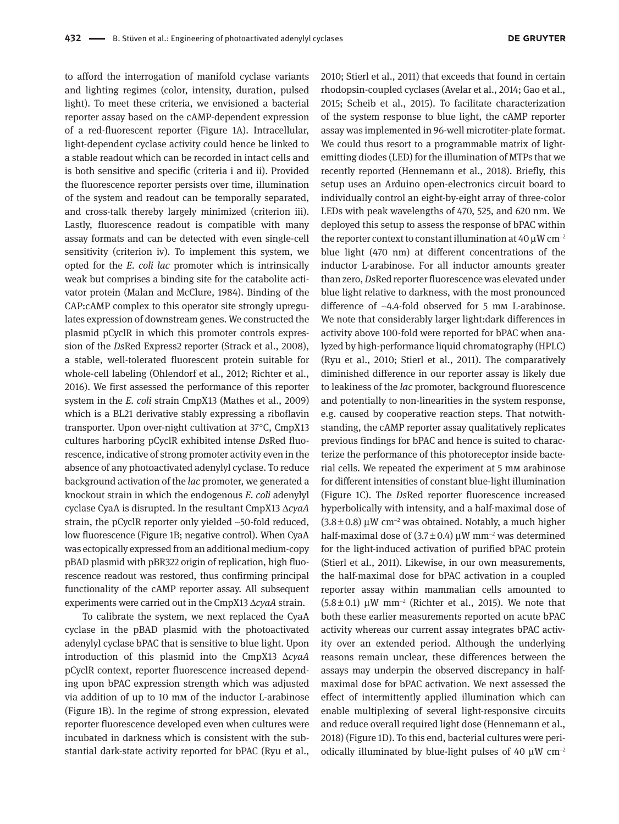to afford the interrogation of manifold cyclase variants and lighting regimes (color, intensity, duration, pulsed light). To meet these criteria, we envisioned a bacterial reporter assay based on the cAMP-dependent expression of a red-fluorescent reporter (Figure 1A). Intracellular, light-dependent cyclase activity could hence be linked to a stable readout which can be recorded in intact cells and is both sensitive and specific (criteria i and ii). Provided the fluorescence reporter persists over time, illumination of the system and readout can be temporally separated, and cross-talk thereby largely minimized (criterion iii). Lastly, fluorescence readout is compatible with many assay formats and can be detected with even single-cell sensitivity (criterion iv). To implement this system, we opted for the *E. coli lac* promoter which is intrinsically weak but comprises a binding site for the catabolite activator protein (Malan and McClure, 1984). Binding of the CAP:cAMP complex to this operator site strongly upregulates expression of downstream genes. We constructed the plasmid pCyclR in which this promoter controls expression of the *Ds*Red Express2 reporter (Strack et al., 2008), a stable, well-tolerated fluorescent protein suitable for whole-cell labeling (Ohlendorf et al., 2012; Richter et al., 2016). We first assessed the performance of this reporter system in the *E. coli* strain CmpX13 (Mathes et al., 2009) which is a BL21 derivative stably expressing a riboflavin transporter. Upon over-night cultivation at 37°C, CmpX13 cultures harboring pCyclR exhibited intense *Ds*Red fluorescence, indicative of strong promoter activity even in the absence of any photoactivated adenylyl cyclase. To reduce background activation of the *lac* promoter, we generated a knockout strain in which the endogenous *E. coli* adenylyl cyclase CyaA is disrupted. In the resultant CmpX13 Δ*cyaA* strain, the pCyclR reporter only yielded ~50-fold reduced, low fluorescence (Figure 1B; negative control). When CyaA was ectopically expressed from an additional medium-copy pBAD plasmid with pBR322 origin of replication, high fluorescence readout was restored, thus confirming principal functionality of the cAMP reporter assay. All subsequent experiments were carried out in the CmpX13 Δ*cyaA* strain.

To calibrate the system, we next replaced the CyaA cyclase in the pBAD plasmid with the photoactivated adenylyl cyclase bPAC that is sensitive to blue light. Upon introduction of this plasmid into the CmpX13 Δ*cyaA* pCyclR context, reporter fluorescence increased depending upon bPAC expression strength which was adjusted via addition of up to 10 mm of the inductor L-arabinose (Figure 1B). In the regime of strong expression, elevated reporter fluorescence developed even when cultures were incubated in darkness which is consistent with the substantial dark-state activity reported for bPAC (Ryu et al.,

2010; Stierl et al., 2011) that exceeds that found in certain rhodopsin-coupled cyclases (Avelar et al., 2014; Gao et al., 2015; Scheib et al., 2015). To facilitate characterization of the system response to blue light, the cAMP reporter assay was implemented in 96-well microtiter-plate format. We could thus resort to a programmable matrix of lightemitting diodes (LED) for the illumination of MTPs that we recently reported (Hennemann et al., 2018). Briefly, this setup uses an Arduino open-electronics circuit board to individually control an eight-by-eight array of three-color LEDs with peak wavelengths of 470, 525, and 620 nm. We deployed this setup to assess the response of bPAC within the reporter context to constant illumination at  $40 \mu W \text{ cm}^{-2}$ blue light (470 nm) at different concentrations of the inductor L-arabinose. For all inductor amounts greater than zero, *Ds*Red reporter fluorescence was elevated under blue light relative to darkness, with the most pronounced difference of ~4.4-fold observed for 5 mm L-arabinose. We note that considerably larger light:dark differences in activity above 100-fold were reported for bPAC when analyzed by high-performance liquid chromatography (HPLC) (Ryu et al., 2010; Stierl et al., 2011). The comparatively diminished difference in our reporter assay is likely due to leakiness of the *lac* promoter, background fluorescence and potentially to non-linearities in the system response, e.g. caused by cooperative reaction steps. That notwithstanding, the cAMP reporter assay qualitatively replicates previous findings for bPAC and hence is suited to characterize the performance of this photoreceptor inside bacterial cells. We repeated the experiment at 5 mm arabinose for different intensities of constant blue-light illumination (Figure 1C). The *Ds*Red reporter fluorescence increased hyperbolically with intensity, and a half-maximal dose of  $(3.8\pm0.8)$  µW cm<sup>-2</sup> was obtained. Notably, a much higher half-maximal dose of  $(3.7 \pm 0.4) \mu W$  mm<sup>-2</sup> was determined for the light-induced activation of purified bPAC protein (Stierl et al., 2011). Likewise, in our own measurements, the half-maximal dose for bPAC activation in a coupled reporter assay within mammalian cells amounted to (5.8 ± 0.1) μW mm<sup>−</sup><sup>2</sup> (Richter et al., 2015). We note that both these earlier measurements reported on acute bPAC activity whereas our current assay integrates bPAC activity over an extended period. Although the underlying reasons remain unclear, these differences between the assays may underpin the observed discrepancy in halfmaximal dose for bPAC activation. We next assessed the effect of intermittently applied illumination which can enable multiplexing of several light-responsive circuits and reduce overall required light dose (Hennemann et al., 2018) (Figure 1D). To this end, bacterial cultures were periodically illuminated by blue-light pulses of 40  $\mu$ W cm<sup>-2</sup>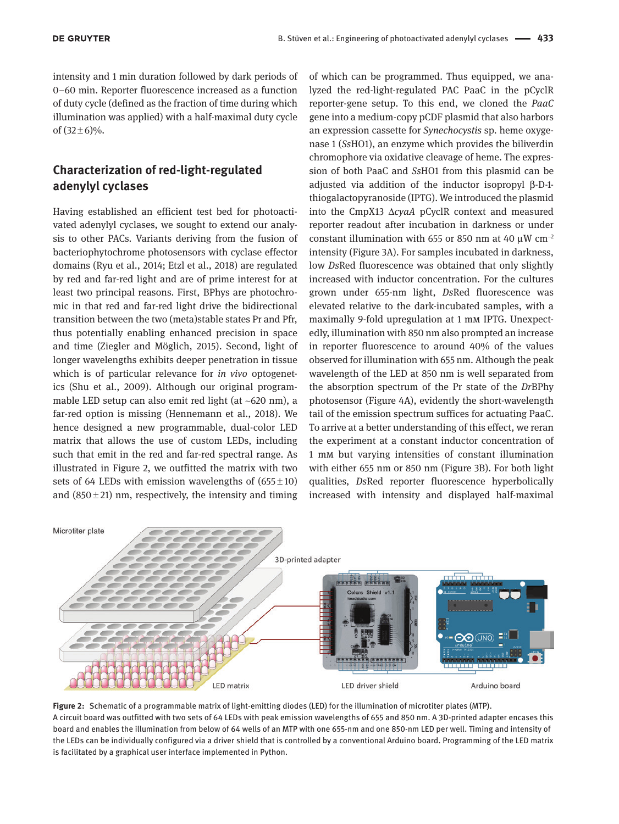intensity and 1 min duration followed by dark periods of 0–60 min. Reporter fluorescence increased as a function of duty cycle (defined as the fraction of time during which illumination was applied) with a half-maximal duty cycle of  $(32 \pm 6)\%$ .

### **Characterization of red-light-regulated adenylyl cyclases**

Having established an efficient test bed for photoactivated adenylyl cyclases, we sought to extend our analysis to other PACs. Variants deriving from the fusion of bacteriophytochrome photosensors with cyclase effector domains (Ryu et al., 2014; Etzl et al., 2018) are regulated by red and far-red light and are of prime interest for at least two principal reasons. First, BPhys are photochromic in that red and far-red light drive the bidirectional transition between the two (meta)stable states Pr and Pfr, thus potentially enabling enhanced precision in space and time (Ziegler and Möglich, 2015). Second, light of longer wavelengths exhibits deeper penetration in tissue which is of particular relevance for *in vivo* optogenetics (Shu et al., 2009). Although our original programmable LED setup can also emit red light (at  $\sim$ 620 nm), a far-red option is missing (Hennemann et al., 2018). We hence designed a new programmable, dual-color LED matrix that allows the use of custom LEDs, including such that emit in the red and far-red spectral range. As illustrated in Figure 2, we outfitted the matrix with two sets of 64 LEDs with emission wavelengths of  $(655 \pm 10)$ and  $(850±21)$  nm, respectively, the intensity and timing

of which can be programmed. Thus equipped, we analyzed the red-light-regulated PAC PaaC in the pCyclR reporter-gene setup. To this end, we cloned the *PaaC* gene into a medium-copy pCDF plasmid that also harbors an expression cassette for *Synechocystis* sp. heme oxygenase 1 (*Ss*HO1), an enzyme which provides the biliverdin chromophore via oxidative cleavage of heme. The expression of both PaaC and *Ss*HO1 from this plasmid can be adjusted via addition of the inductor isopropyl β-D-1 thiogalactopyranoside (IPTG). We introduced the plasmid into the CmpX13 Δ*cyaA* pCyclR context and measured reporter readout after incubation in darkness or under constant illumination with 655 or 850 nm at 40  $\mu$ W cm<sup>-2</sup> intensity (Figure 3A). For samples incubated in darkness, low *Ds*Red fluorescence was obtained that only slightly increased with inductor concentration. For the cultures grown under 655-nm light, *Ds*Red fluorescence was elevated relative to the dark-incubated samples, with a maximally 9-fold upregulation at 1 mm IPTG. Unexpectedly, illumination with 850 nm also prompted an increase in reporter fluorescence to around 40% of the values observed for illumination with 655 nm. Although the peak wavelength of the LED at 850 nm is well separated from the absorption spectrum of the Pr state of the *Dr*BPhy photosensor (Figure 4A), evidently the short-wavelength tail of the emission spectrum suffices for actuating PaaC. To arrive at a better understanding of this effect, we reran the experiment at a constant inductor concentration of 1 mm but varying intensities of constant illumination with either 655 nm or 850 nm (Figure 3B). For both light qualities, *Ds*Red reporter fluorescence hyperbolically increased with intensity and displayed half-maximal



**Figure 2:** Schematic of a programmable matrix of light-emitting diodes (LED) for the illumination of microtiter plates (MTP). A circuit board was outfitted with two sets of 64 LEDs with peak emission wavelengths of 655 and 850 nm. A 3D-printed adapter encases this board and enables the illumination from below of 64 wells of an MTP with one 655-nm and one 850-nm LED per well. Timing and intensity of the LEDs can be individually configured via a driver shield that is controlled by a conventional Arduino board. Programming of the LED matrix is facilitated by a graphical user interface implemented in Python.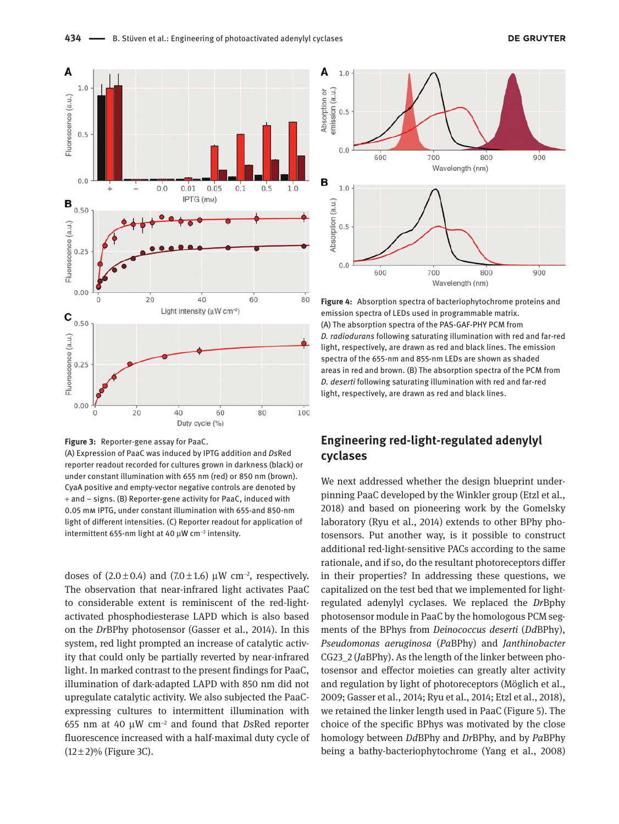



(A) Expression of PaaC was induced by IPTG addition and *Ds*Red reporter readout recorded for cultures grown in darkness (black) or under constant illumination with 655 nm (red) or 850 nm (brown). CyaA positive and empty-vector negative controls are denoted by + and – signs. (B) Reporter-gene activity for PaaC, induced with 0.05 mm IPTG, under constant illumination with 655-and 850-nm light of different intensities. (C) Reporter readout for application of intermittent 655-nm light at 40  $\mu$ W cm $^{-2}$  intensity.

doses of  $(2.0 \pm 0.4)$  and  $(7.0 \pm 1.6)$  µW cm<sup>-2</sup>, respectively. The observation that near-infrared light activates PaaC to considerable extent is reminiscent of the red-lightactivated phosphodiesterase LAPD which is also based on the *Dr*BPhy photosensor (Gasser et al., 2014). In this system, red light prompted an increase of catalytic activity that could only be partially reverted by near-infrared light. In marked contrast to the present findings for PaaC, illumination of dark-adapted LAPD with 850 nm did not upregulate catalytic activity. We also subjected the PaaCexpressing cultures to intermittent illumination with 655 nm at 40 μW cm<sup>−</sup><sup>2</sup> and found that *Ds*Red reporter fluorescence increased with a half-maximal duty cycle of  $(12\pm2)\%$  (Figure 3C).



**Figure 4:** Absorption spectra of bacteriophytochrome proteins and emission spectra of LEDs used in programmable matrix. (A) The absorption spectra of the PAS-GAF-PHY PCM from *D. radiodurans* following saturating illumination with red and far-red light, respectively, are drawn as red and black lines. The emission spectra of the 655-nm and 855-nm LEDs are shown as shaded areas in red and brown. (B) The absorption spectra of the PCM from *D. deserti* following saturating illumination with red and far-red light, respectively, are drawn as red and black lines.

### **Engineering red-light-regulated adenylyl cyclases**

We next addressed whether the design blueprint underpinning PaaC developed by the Winkler group (Etzl et al., 2018) and based on pioneering work by the Gomelsky laboratory (Ryu et al., 2014) extends to other BPhy photosensors. Put another way, is it possible to construct additional red-light-sensitive PACs according to the same rationale, and if so, do the resultant photoreceptors differ in their properties? In addressing these questions, we capitalized on the test bed that we implemented for lightregulated adenylyl cyclases. We replaced the *Dr*Bphy photosensor module in PaaC by the homologous PCM segments of the BPhys from *Deinococcus deserti* (*Dd*BPhy), *Pseudomonas aeruginosa* (*Pa*BPhy) and *Janthinobacter* CG23\_2 (*Ja*BPhy). As the length of the linker between photosensor and effector moieties can greatly alter activity and regulation by light of photoreceptors (Möglich et al., 2009; Gasser et al., 2014; Ryu et al., 2014; Etzl et al., 2018), we retained the linker length used in PaaC (Figure 5). The choice of the specific BPhys was motivated by the close homology between *Dd*BPhy and *Dr*BPhy, and by *Pa*BPhy being a bathy-bacteriophytochrome (Yang et al., 2008)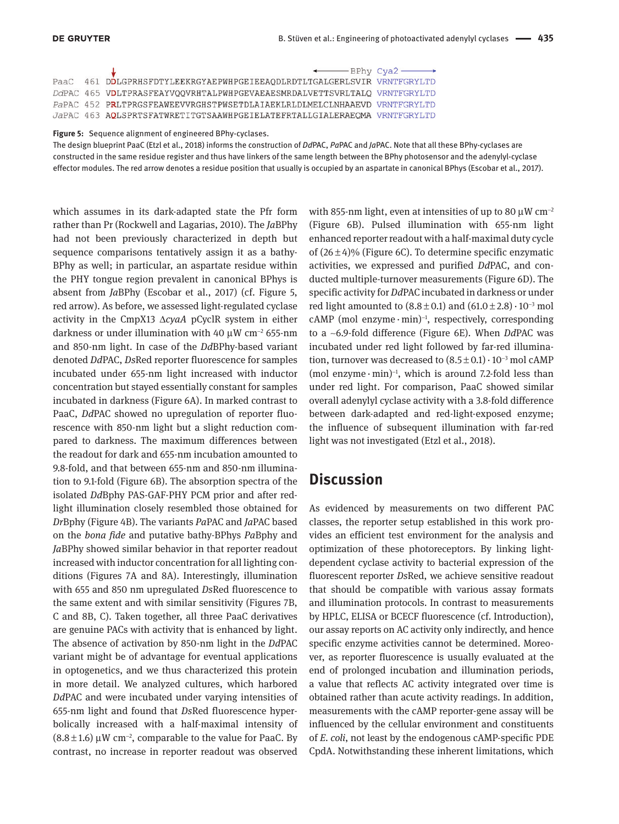|  | $\leftarrow$ BPhy Cya2 $\longrightarrow$                                 |  |
|--|--------------------------------------------------------------------------|--|
|  | PaaC 461 DDLGPRHSFDTYLEEKRGYAEPWHPGEIEEAQDLRDTLTGALGERLSVIR VRNTFGRYLTD  |  |
|  | DdPAC 465 VDLTPRASFEAYVOOVRHTALPWHPGEVAEAESMRDALVETTSVRLTALO VRNTFGRYLTD |  |
|  | PaPAC 452 PRLTPRGSFEAWEEVVRGHSTPWSETDLAIAEKLRLDLMELCLNHAAEVD VRNTFGRYLTD |  |
|  | JaPAC 463 AOLSPRTSFATWRETITGTSAAWHPGEIELATEFRTALLGIALERAEOMA VRNTFGRYLTD |  |
|  |                                                                          |  |

#### **Figure 5:** Sequence alignment of engineered BPhy-cyclases.

The design blueprint PaaC (Etzl et al., 2018) informs the construction of *Dd*PAC, *Pa*PAC and *Ja*PAC. Note that all these BPhy-cyclases are constructed in the same residue register and thus have linkers of the same length between the BPhy photosensor and the adenylyl-cyclase effector modules. The red arrow denotes a residue position that usually is occupied by an aspartate in canonical BPhys (Escobar et al., 2017).

which assumes in its dark-adapted state the Pfr form rather than Pr (Rockwell and Lagarias, 2010). The *Ja*BPhy had not been previously characterized in depth but sequence comparisons tentatively assign it as a bathy-BPhy as well; in particular, an aspartate residue within the PHY tongue region prevalent in canonical BPhys is absent from *Ja*BPhy (Escobar et al., 2017) (cf. Figure 5, red arrow). As before, we assessed light-regulated cyclase activity in the CmpX13 Δ*cyaA* pCyclR system in either darkness or under illumination with 40  $\mu$ W cm<sup>-2</sup> 655-nm and 850-nm light. In case of the *Dd*BPhy-based variant denoted *Dd*PAC, *Ds*Red reporter fluorescence for samples incubated under 655-nm light increased with inductor concentration but stayed essentially constant for samples incubated in darkness (Figure 6A). In marked contrast to PaaC, *Dd*PAC showed no upregulation of reporter fluorescence with 850-nm light but a slight reduction compared to darkness. The maximum differences between the readout for dark and 655-nm incubation amounted to 9.8-fold, and that between 655-nm and 850-nm illumination to 9.1-fold (Figure 6B). The absorption spectra of the isolated *Dd*Bphy PAS-GAF-PHY PCM prior and after redlight illumination closely resembled those obtained for *Dr*Bphy (Figure 4B). The variants *Pa*PAC and *Ja*PAC based on the *bona fide* and putative bathy-BPhys *Pa*Bphy and *Ja*BPhy showed similar behavior in that reporter readout increased with inductor concentration for all lighting conditions (Figures 7A and 8A). Interestingly, illumination with 655 and 850 nm upregulated *Ds*Red fluorescence to the same extent and with similar sensitivity (Figures 7B, C and 8B, C). Taken together, all three PaaC derivatives are genuine PACs with activity that is enhanced by light. The absence of activation by 850-nm light in the *Dd*PAC variant might be of advantage for eventual applications in optogenetics, and we thus characterized this protein in more detail. We analyzed cultures, which harbored *Dd*PAC and were incubated under varying intensities of 655-nm light and found that *Ds*Red fluorescence hyperbolically increased with a half-maximal intensity of  $(8.8\pm1.6)$  µW cm<sup>-2</sup>, comparable to the value for PaaC. By contrast, no increase in reporter readout was observed

with 855-nm light, even at intensities of up to 80  $\mu$ W cm<sup>-2</sup> (Figure 6B). Pulsed illumination with 655-nm light enhanced reporter readout with a half-maximal duty cycle of  $(26\pm4)\%$  (Figure 6C). To determine specific enzymatic activities, we expressed and purified *Dd*PAC, and conducted multiple-turnover measurements (Figure 6D). The specific activity for *Dd*PAC incubated in darkness or under red light amounted to  $(8.8 \pm 0.1)$  and  $(61.0 \pm 2.8) \cdot 10^{-3}$  mol  $cAMP$  (mol enzyme $·min)^{-1}$ , respectively, corresponding to a ~6.9-fold difference (Figure 6E). When *Dd*PAC was incubated under red light followed by far-red illumination, turnover was decreased to  $(8.5 \pm 0.1) \cdot 10^{-3}$  mol cAMP  $(mod$  enzyme $·min$ <sup>-1</sup>, which is around 7.2-fold less than under red light. For comparison, PaaC showed similar overall adenylyl cyclase activity with a 3.8-fold difference between dark-adapted and red-light-exposed enzyme; the influence of subsequent illumination with far-red light was not investigated (Etzl et al., 2018).

## **Discussion**

As evidenced by measurements on two different PAC classes, the reporter setup established in this work provides an efficient test environment for the analysis and optimization of these photoreceptors. By linking lightdependent cyclase activity to bacterial expression of the fluorescent reporter *Ds*Red, we achieve sensitive readout that should be compatible with various assay formats and illumination protocols. In contrast to measurements by HPLC, ELISA or BCECF fluorescence (cf. Introduction), our assay reports on AC activity only indirectly, and hence specific enzyme activities cannot be determined. Moreover, as reporter fluorescence is usually evaluated at the end of prolonged incubation and illumination periods, a value that reflects AC activity integrated over time is obtained rather than acute activity readings. In addition, measurements with the cAMP reporter-gene assay will be influenced by the cellular environment and constituents of *E. coli*, not least by the endogenous cAMP-specific PDE CpdA. Notwithstanding these inherent limitations, which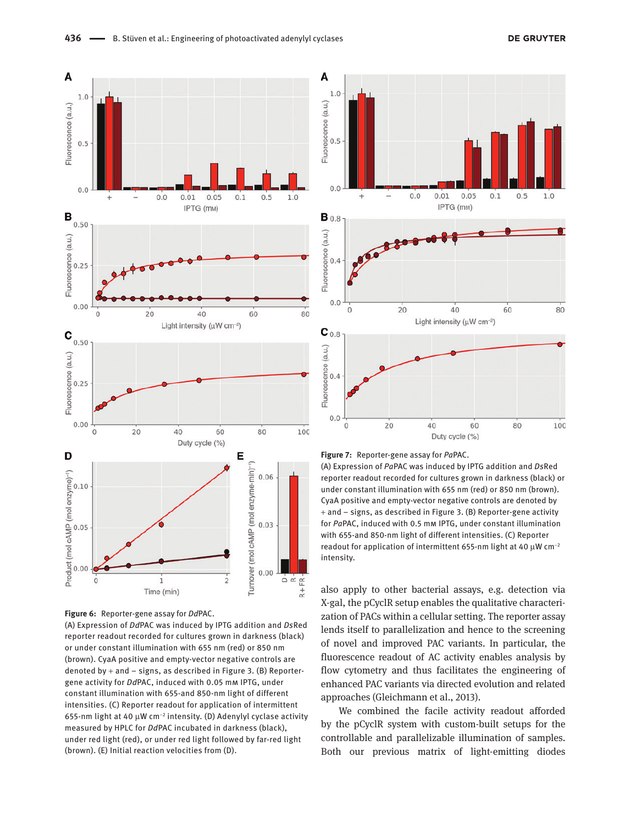

**Figure 6:** Reporter-gene assay for *Dd*PAC.

(A) Expression of *Dd*PAC was induced by IPTG addition and *Ds*Red reporter readout recorded for cultures grown in darkness (black) or under constant illumination with 655 nm (red) or 850 nm (brown). CyaA positive and empty-vector negative controls are denoted by  $+$  and  $-$  signs, as described in Figure 3. (B) Reportergene activity for *Dd*PAC, induced with 0.05 mm IPTG, under constant illumination with 655-and 850-nm light of different intensities. (C) Reporter readout for application of intermittent 655-nm light at 40 μW cm<sup>−</sup><sup>2</sup> intensity. (D) Adenylyl cyclase activity measured by HPLC for *Dd*PAC incubated in darkness (black), under red light (red), or under red light followed by far-red light (brown). (E) Initial reaction velocities from (D).





(A) Expression of *Pa*PAC was induced by IPTG addition and *Ds*Red reporter readout recorded for cultures grown in darkness (black) or under constant illumination with 655 nm (red) or 850 nm (brown). CyaA positive and empty-vector negative controls are denoted by + and – signs, as described in Figure 3. (B) Reporter-gene activity for *Pa*PAC, induced with 0.5 mm IPTG, under constant illumination with 655-and 850-nm light of different intensities. (C) Reporter readout for application of intermittent 655-nm light at 40 μW cm<sup>−</sup><sup>2</sup> intensity.

also apply to other bacterial assays, e.g. detection via X-gal, the pCyclR setup enables the qualitative characterization of PACs within a cellular setting. The reporter assay lends itself to parallelization and hence to the screening of novel and improved PAC variants. In particular, the fluorescence readout of AC activity enables analysis by flow cytometry and thus facilitates the engineering of enhanced PAC variants via directed evolution and related approaches (Gleichmann et al., 2013).

We combined the facile activity readout afforded by the pCyclR system with custom-built setups for the controllable and parallelizable illumination of samples. Both our previous matrix of light-emitting diodes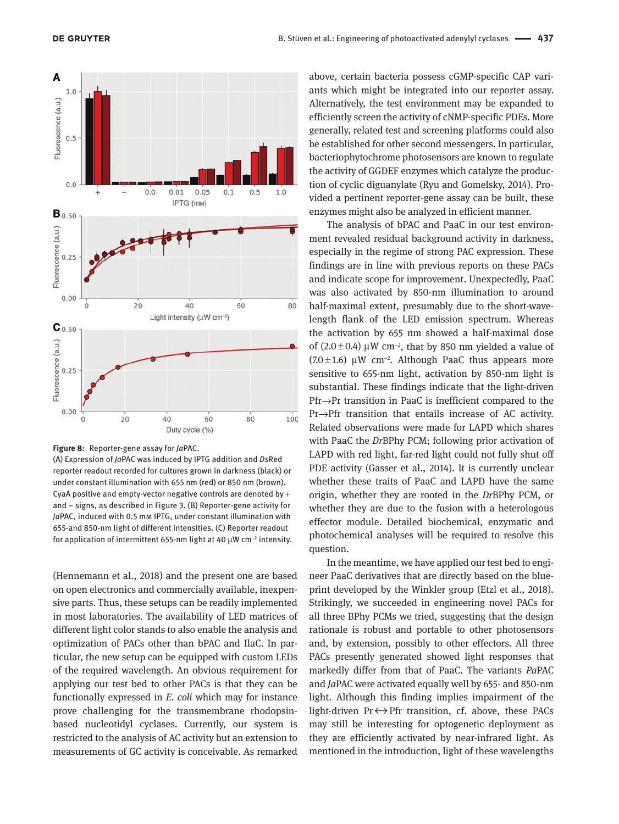

#### **Figure 8:** Reporter-gene assay for *Ja*PAC.

(A) Expression of *Ja*PAC was induced by IPTG addition and *Ds*Red reporter readout recorded for cultures grown in darkness (black) or under constant illumination with 655 nm (red) or 850 nm (brown). CyaA positive and empty-vector negative controls are denoted by  $+$ and – signs, as described in Figure 3. (B) Reporter-gene activity for *Ja*PAC, induced with 0.5 mm IPTG, under constant illumination with 655-and 850-nm light of different intensities. (C) Reporter readout for application of intermittent 655-nm light at 40 μW cm<sup>-2</sup> intensity.

(Hennemann et al., 2018) and the present one are based on open electronics and commercially available, inexpensive parts. Thus, these setups can be readily implemented in most laboratories. The availability of LED matrices of different light color stands to also enable the analysis and optimization of PACs other than bPAC and IlaC. In particular, the new setup can be equipped with custom LEDs of the required wavelength. An obvious requirement for applying our test bed to other PACs is that they can be functionally expressed in *E. coli* which may for instance prove challenging for the transmembrane rhodopsinbased nucleotidyl cyclases. Currently, our system is restricted to the analysis of AC activity but an extension to measurements of GC activity is conceivable. As remarked

above, certain bacteria possess cGMP-specific CAP variants which might be integrated into our reporter assay. Alternatively, the test environment may be expanded to efficiently screen the activity of cNMP-specific PDEs. More generally, related test and screening platforms could also be established for other second messengers. In particular, bacteriophytochrome photosensors are known to regulate the activity of GGDEF enzymes which catalyze the production of cyclic diguanylate (Ryu and Gomelsky, 2014). Provided a pertinent reporter-gene assay can be built, these enzymes might also be analyzed in efficient manner.

The analysis of bPAC and PaaC in our test environment revealed residual background activity in darkness, especially in the regime of strong PAC expression. These findings are in line with previous reports on these PACs and indicate scope for improvement. Unexpectedly, PaaC was also activated by 850-nm illumination to around half-maximal extent, presumably due to the short-wavelength flank of the LED emission spectrum. Whereas the activation by 655 nm showed a half-maximal dose of  $(2.0 \pm 0.4)$  µW cm<sup>-2</sup>, that by 850 nm yielded a value of (7.0 ± 1.6) μW cm<sup>−</sup><sup>2</sup> . Although PaaC thus appears more sensitive to 655-nm light, activation by 850-nm light is substantial. These findings indicate that the light-driven Pfr→Pr transition in PaaC is inefficient compared to the Pr→Pfr transition that entails increase of AC activity. Related observations were made for LAPD which shares with PaaC the *Dr*BPhy PCM; following prior activation of LAPD with red light, far-red light could not fully shut off PDE activity (Gasser et al., 2014). It is currently unclear whether these traits of PaaC and LAPD have the same origin, whether they are rooted in the *Dr*BPhy PCM, or whether they are due to the fusion with a heterologous effector module. Detailed biochemical, enzymatic and photochemical analyses will be required to resolve this question.

In the meantime, we have applied our test bed to engineer PaaC derivatives that are directly based on the blueprint developed by the Winkler group (Etzl et al., 2018). Strikingly, we succeeded in engineering novel PACs for all three BPhy PCMs we tried, suggesting that the design rationale is robust and portable to other photosensors and, by extension, possibly to other effectors. All three PACs presently generated showed light responses that markedly differ from that of PaaC. The variants *Pa*PAC and *Ja*PAC were activated equally well by 655- and 850-nm light. Although this finding implies impairment of the light-driven  $Pr \leftrightarrow Pr$  transition, cf. above, these PACs may still be interesting for optogenetic deployment as they are efficiently activated by near-infrared light. As mentioned in the introduction, light of these wavelengths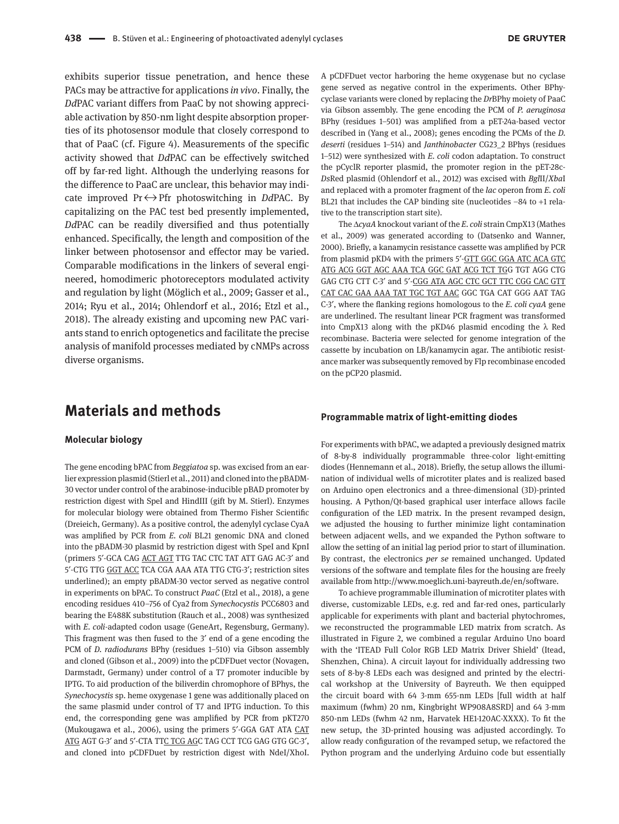exhibits superior tissue penetration, and hence these PACs may be attractive for applications *in vivo*. Finally, the *Dd*PAC variant differs from PaaC by not showing appreciable activation by 850-nm light despite absorption properties of its photosensor module that closely correspond to that of PaaC (cf. Figure 4). Measurements of the specific activity showed that *Dd*PAC can be effectively switched off by far-red light. Although the underlying reasons for the difference to PaaC are unclear, this behavior may indicate improved Pr ↔ Pfr photoswitching in *Dd*PAC. By capitalizing on the PAC test bed presently implemented, *Dd*PAC can be readily diversified and thus potentially enhanced. Specifically, the length and composition of the linker between photosensor and effector may be varied. Comparable modifications in the linkers of several engineered, homodimeric photoreceptors modulated activity and regulation by light (Möglich et al., 2009; Gasser et al., 2014; Ryu et al., 2014; Ohlendorf et al., 2016; Etzl et al., 2018). The already existing and upcoming new PAC variants stand to enrich optogenetics and facilitate the precise analysis of manifold processes mediated by cNMPs across diverse organisms.

## **Materials and methods**

#### **Molecular biology**

The gene encoding bPAC from *Beggiatoa* sp. was excised from an earlier expression plasmid (Stierl et al., 2011) and cloned into the pBADM-30 vector under control of the arabinose-inducible pBAD promoter by restriction digest with SpeI and HindIII (gift by M. Stierl). Enzymes for molecular biology were obtained from Thermo Fisher Scientific (Dreieich, Germany). As a positive control, the adenylyl cyclase CyaA was amplified by PCR from *E. coli* BL21 genomic DNA and cloned into the pBADM-30 plasmid by restriction digest with SpeI and KpnI (primers 5′-GCA CAG ACT AGT TTG TAC CTC TAT ATT GAG AC-3′ and 5′-CTG TTG GGT ACC TCA CGA AAA ATA TTG CTG-3′; restriction sites underlined); an empty pBADM-30 vector served as negative control in experiments on bPAC. To construct *PaaC* (Etzl et al., 2018), a gene encoding residues 410–756 of Cya2 from *Synechocystis* PCC6803 and bearing the E488K substitution (Rauch et al., 2008) was synthesized with *E. coli*-adapted codon usage (GeneArt, Regensburg, Germany). This fragment was then fused to the 3′ end of a gene encoding the PCM of *D. radiodurans* BPhy (residues 1–510) via Gibson assembly and cloned (Gibson et al., 2009) into the pCDFDuet vector (Novagen, Darmstadt, Germany) under control of a T7 promoter inducible by IPTG. To aid production of the biliverdin chromophore of BPhys, the *Synechocystis* sp. heme oxygenase 1 gene was additionally placed on the same plasmid under control of T7 and IPTG induction. To this end, the corresponding gene was amplified by PCR from pKT270 (Mukougawa et al., 2006), using the primers 5′-GGA GAT ATA CAT ATG AGT G-3' and 5'-CTA TTC TCG AGC TAG CCT TCG GAG GTG GC-3', and cloned into pCDFDuet by restriction digest with NdeI/XhoI.

A pCDFDuet vector harboring the heme oxygenase but no cyclase gene served as negative control in the experiments. Other BPhycyclase variants were cloned by replacing the *Dr*BPhy moiety of PaaC via Gibson assembly. The gene encoding the PCM of *P. aeruginosa* BPhy (residues 1–501) was amplified from a pET-24a-based vector described in (Yang et al., 2008); genes encoding the PCMs of the *D. deserti* (residues 1–514) and *Janthinobacter* CG23\_2 BPhys (residues 1–512) were synthesized with *E. coli* codon adaptation. To construct the pCyclR reporter plasmid, the promoter region in the pET-28c-*Ds*Red plasmid (Ohlendorf et al., 2012) was excised with *Bgl*II/*Xba*I and replaced with a promoter fragment of the *lac* operon from *E. coli* BL21 that includes the CAP binding site (nucleotides –84 to +1 relative to the transcription start site).

The Δ*cyaA* knockout variant of the *E. coli* strain CmpX13 (Mathes et al., 2009) was generated according to (Datsenko and Wanner, 2000). Briefly, a kanamycin resistance cassette was amplified by PCR from plasmid pKD4 with the primers 5′-GTT GGC GGA ATC ACA GTC ATG ACG GGT AGC AAA TCA GGC GAT ACG TCT TGG TGT AGG CTG GAG CTG CTT C-3′ and 5′-CGG ATA AGC CTC GCT TTC CGG CAC GTT CAT CAC GAA AAA TAT TGC TGT AAC GGC TGA CAT GGG AAT TAG C-3′, where the flanking regions homologous to the *E. coli cyaA* gene are underlined. The resultant linear PCR fragment was transformed into CmpX13 along with the pKD46 plasmid encoding the λ Red recombinase. Bacteria were selected for genome integration of the cassette by incubation on LB/kanamycin agar. The antibiotic resistance marker was subsequently removed by Flp recombinase encoded on the pCP20 plasmid.

#### **Programmable matrix of light-emitting diodes**

For experiments with bPAC, we adapted a previously designed matrix of 8-by-8 individually programmable three-color light-emitting diodes (Hennemann et al., 2018). Briefly, the setup allows the illumination of individual wells of microtiter plates and is realized based on Arduino open electronics and a three-dimensional (3D)-printed housing. A Python/Qt-based graphical user interface allows facile configuration of the LED matrix. In the present revamped design, we adjusted the housing to further minimize light contamination between adjacent wells, and we expanded the Python software to allow the setting of an initial lag period prior to start of illumination. By contrast, the electronics *per se* remained unchanged. Updated versions of the software and template files for the housing are freely available from [http://www.moeglich.uni-bayreuth.de/en/software.](http://www.moeglich.uni-bayreuth.de/en/software)

To achieve programmable illumination of microtiter plates with diverse, customizable LEDs, e.g. red and far-red ones, particularly applicable for experiments with plant and bacterial phytochromes, we reconstructed the programmable LED matrix from scratch. As illustrated in Figure 2, we combined a regular Arduino Uno board with the 'ITEAD Full Color RGB LED Matrix Driver Shield' (Itead, Shenzhen, China). A circuit layout for individually addressing two sets of 8-by-8 LEDs each was designed and printed by the electrical workshop at the University of Bayreuth. We then equipped the circuit board with 64 3-mm 655-nm LEDs [full width at half maximum (fwhm) 20 nm, Kingbright WP908A8SRD] and 64 3-mm 850-nm LEDs (fwhm 42 nm, Harvatek HE1-120AC-XXXX). To fit the new setup, the 3D-printed housing was adjusted accordingly. To allow ready configuration of the revamped setup, we refactored the Python program and the underlying Arduino code but essentially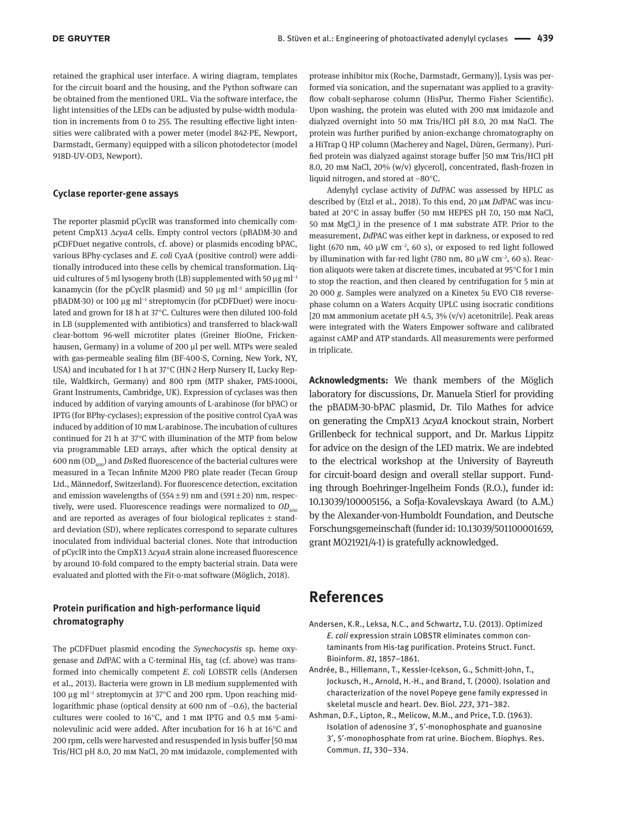retained the graphical user interface. A wiring diagram, templates for the circuit board and the housing, and the Python software can be obtained from the mentioned URL. Via the software interface, the light intensities of the LEDs can be adjusted by pulse-width modulation in increments from 0 to 255. The resulting effective light intensities were calibrated with a power meter (model 842-PE, Newport, Darmstadt, Germany) equipped with a silicon photodetector (model 918D-UV-OD3, Newport).

#### **Cyclase reporter-gene assays**

The reporter plasmid pCyclR was transformed into chemically competent CmpX13 Δ*cyaA* cells. Empty control vectors (pBADM-30 and pCDFDuet negative controls, cf. above) or plasmids encoding bPAC, various BPhy-cyclases and *E. coli* CyaA (positive control) were additionally introduced into these cells by chemical transformation. Liquid cultures of 5 ml lysogeny broth (LB) supplemented with 50  $\mu$ g ml<sup>-1</sup> kanamycin (for the pCyclR plasmid) and 50 μg ml<sup>-1</sup> ampicillin (for pBADM-30) or 100 μg ml<sup>-1</sup> streptomycin (for pCDFDuet) were inoculated and grown for 18 h at 37°C. Cultures were then diluted 100-fold in LB (supplemented with antibiotics) and transferred to black-wall clear-bottom 96-well microtiter plates (Greiner BioOne, Frickenhausen, Germany) in a volume of 200 μl per well. MTPs were sealed with gas-permeable sealing film (BF-400-S, Corning, New York, NY, USA) and incubated for 1 h at 37°C (HN-2 Herp Nursery II, Lucky Reptile, Waldkirch, Germany) and 800 rpm (MTP shaker, PMS-1000i, Grant Instruments, Cambridge, UK). Expression of cyclases was then induced by addition of varying amounts of L-arabinose (for bPAC) or IPTG (for BPhy-cyclases); expression of the positive control CyaA was induced by addition of 10 mm L-arabinose. The incubation of cultures continued for 21 h at 37°C with illumination of the MTP from below via programmable LED arrays, after which the optical density at 600 nm  $OD<sub>600</sub>$ ) and *Ds*Red fluorescence of the bacterial cultures were measured in a Tecan Infinite M200 PRO plate reader (Tecan Group Ltd., Männedorf, Switzerland). For fluorescence detection, excitation and emission wavelengths of  $(554±9)$  nm and  $(591±20)$  nm, respectively, were used. Fluorescence readings were normalized to  $OD<sub>600</sub>$ and are reported as averages of four biological replicates ± standard deviation (SD), where replicates correspond to separate cultures inoculated from individual bacterial clones. Note that introduction of pCyclR into the CmpX13 Δ*cyaA* strain alone increased fluorescence by around 10-fold compared to the empty bacterial strain. Data were evaluated and plotted with the Fit-o-mat software (Möglich, 2018).

#### **Protein purification and high-performance liquid chromatography**

The pCDFDuet plasmid encoding the *Synechocystis* sp. heme oxygenase and *Dd*PAC with a C-terminal His<sub>6</sub> tag (cf. above) was transformed into chemically competent *E. coli* LOBSTR cells (Andersen et al., 2013). Bacteria were grown in LB medium supplemented with 100 μg ml<sup>−</sup><sup>1</sup> streptomycin at 37°C and 200 rpm. Upon reaching midlogarithmic phase (optical density at 600 nm of  $\sim 0.6$ ), the bacterial cultures were cooled to 16°C, and 1 mm IPTG and 0.5 mm 5-aminolevulinic acid were added. After incubation for 16 h at 16°C and 200 rpm, cells were harvested and resuspended in lysis buffer [50 mm Tris/HCl pH 8.0, 20 mm NaCl, 20 mm imidazole, complemented with protease inhibitor mix (Roche, Darmstadt, Germany)]. Lysis was performed via sonication, and the supernatant was applied to a gravityflow cobalt-sepharose column (HisPur, Thermo Fisher Scientific). Upon washing, the protein was eluted with 200 mm imidazole and dialyzed overnight into 50 mm Tris/HCl pH 8.0, 20 mm NaCl. The protein was further purified by anion-exchange chromatography on a HiTrap Q HP column (Macherey and Nagel, Düren, Germany). Purified protein was dialyzed against storage buffer [50 mm Tris/HCl pH 8.0, 20 mm NaCl, 20% (w/v) glycerol], concentrated, flash-frozen in liquid nitrogen, and stored at  $-80^{\circ}$ C.

Adenylyl cyclase activity of *Dd*PAC was assessed by HPLC as described by (Etzl et al., 2018). To this end, 20 μm *Dd*PAC was incubated at 20°C in assay buffer (50 mm HEPES pH 7.0, 150 mm NaCl, 50 mm  $MgCl<sub>2</sub>$ ) in the presence of 1 mm substrate ATP. Prior to the measurement, *Dd*PAC was either kept in darkness, or exposed to red light (670 nm, 40 μW cm<sup>-2</sup>, 60 s), or exposed to red light followed by illumination with far-red light (780 nm, 80 μW cm<sup>-2</sup>, 60 s). Reaction aliquots were taken at discrete times, incubated at 95°C for 1 min to stop the reaction, and then cleared by centrifugation for 5 min at 20 000 *g*. Samples were analyzed on a Kinetex 5u EVO C18 reversephase column on a Waters Acquity UPLC using isocratic conditions [20 mM ammonium acetate pH 4.5,  $3\%$  (v/v) acetonitrile]. Peak areas were integrated with the Waters Empower software and calibrated against cAMP and ATP standards. All measurements were performed in triplicate.

**Acknowledgments:** We thank members of the Möglich laboratory for discussions, Dr. Manuela Stierl for providing the pBADM-30-bPAC plasmid, Dr. Tilo Mathes for advice on generating the CmpX13 Δ*cyaA* knockout strain, Norbert Grillenbeck for technical support, and Dr. Markus Lippitz for advice on the design of the LED matrix. We are indebted to the electrical workshop at the University of Bayreuth for circuit-board design and overall stellar support. Funding through Boehringer-Ingelheim Fonds (R.O.), funder id: 10.13039/100005156, a Sofja-Kovalevskaya Award (to A.M.) by the Alexander-von-Humboldt Foundation, and Deutsche Forschungsgemeinschaft (funder id: 10.13039/501100001659, grant MO21921/4-1) is gratefully acknowledged.

## **References**

- Andersen, K.R., Leksa, N.C., and Schwartz, T.U. (2013). Optimized *E. coli* expression strain LOBSTR eliminates common contaminants from His-tag purification. Proteins Struct. Funct. Bioinform. *81*, 1857–1861.
- Andrée, B., Hillemann, T., Kessler-Icekson, G., Schmitt-John, T., Jockusch, H., Arnold, H.-H., and Brand, T. (2000). Isolation and characterization of the novel Popeye gene family expressed in skeletal muscle and heart. Dev. Biol. *223*, 371–382.
- Ashman, D.F., Lipton, R., Melicow, M.M., and Price, T.D. (1963). Isolation of adenosine 3′, 5′-monophosphate and guanosine 3′, 5′-monophosphate from rat urine. Biochem. Biophys. Res. Commun. *11*, 330–334.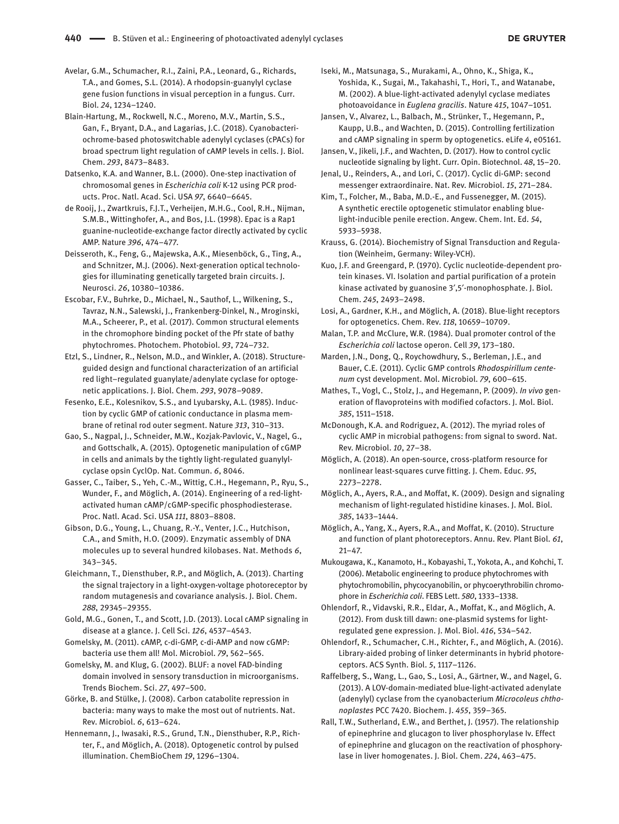Avelar, G.M., Schumacher, R.I., Zaini, P.A., Leonard, G., Richards, T.A., and Gomes, S.L. (2014). A rhodopsin-guanylyl cyclase gene fusion functions in visual perception in a fungus. Curr. Biol. *24*, 1234–1240.

Blain-Hartung, M., Rockwell, N.C., Moreno, M.V., Martin, S.S., Gan, F., Bryant, D.A., and Lagarias, J.C. (2018). Cyanobacteriochrome-based photoswitchable adenylyl cyclases (cPACs) for broad spectrum light regulation of cAMP levels in cells. J. Biol. Chem. *293*, 8473–8483.

Datsenko, K.A. and Wanner, B.L. (2000). One-step inactivation of chromosomal genes in *Escherichia coli* K-12 using PCR products. Proc. Natl. Acad. Sci. USA *97*, 6640–6645.

de Rooij, J., Zwartkruis, F.J.T., Verheijen, M.H.G., Cool, R.H., Nijman, S.M.B., Wittinghofer, A., and Bos, J.L. (1998). Epac is a Rap1 guanine-nucleotide-exchange factor directly activated by cyclic AMP. Nature *396*, 474–477.

Deisseroth, K., Feng, G., Majewska, A.K., Miesenböck, G., Ting, A., and Schnitzer, M.J. (2006). Next-generation optical technologies for illuminating genetically targeted brain circuits. J. Neurosci. *26*, 10380–10386.

Escobar, F.V., Buhrke, D., Michael, N., Sauthof, L., Wilkening, S., Tavraz, N.N., Salewski, J., Frankenberg-Dinkel, N., Mroginski, M.A., Scheerer, P., et al. (2017). Common structural elements in the chromophore binding pocket of the Pfr state of bathy phytochromes. Photochem. Photobiol. *93*, 724–732.

Etzl, S., Lindner, R., Nelson, M.D., and Winkler, A. (2018). Structureguided design and functional characterization of an artificial red light–regulated guanylate/adenylate cyclase for optogenetic applications. J. Biol. Chem. *293*, 9078–9089.

Fesenko, E.E., Kolesnikov, S.S., and Lyubarsky, A.L. (1985). Induction by cyclic GMP of cationic conductance in plasma membrane of retinal rod outer segment. Nature *313*, 310–313.

Gao, S., Nagpal, J., Schneider, M.W., Kozjak-Pavlovic, V., Nagel, G., and Gottschalk, A. (2015). Optogenetic manipulation of cGMP in cells and animals by the tightly light-regulated guanylylcyclase opsin CyclOp. Nat. Commun. *6*, 8046.

Gasser, C., Taiber, S., Yeh, C.-M., Wittig, C.H., Hegemann, P., Ryu, S., Wunder, F., and Möglich, A. (2014). Engineering of a red-lightactivated human cAMP/cGMP-specific phosphodiesterase. Proc. Natl. Acad. Sci. USA *111*, 8803–8808.

Gibson, D.G., Young, L., Chuang, R.-Y., Venter, J.C., Hutchison, C.A., and Smith, H.O. (2009). Enzymatic assembly of DNA molecules up to several hundred kilobases. Nat. Methods *6*, 343–345.

Gleichmann, T., Diensthuber, R.P., and Möglich, A. (2013). Charting the signal trajectory in a light-oxygen-voltage photoreceptor by random mutagenesis and covariance analysis. J. Biol. Chem. *288*, 29345–29355.

Gold, M.G., Gonen, T., and Scott, J.D. (2013). Local cAMP signaling in disease at a glance. J. Cell Sci. *126*, 4537–4543.

Gomelsky, M. (2011). cAMP, c-di-GMP, c-di-AMP and now cGMP: bacteria use them all! Mol. Microbiol. *79*, 562–565.

Gomelsky, M. and Klug, G. (2002). BLUF: a novel FAD-binding domain involved in sensory transduction in microorganisms. Trends Biochem. Sci. *27*, 497–500.

Görke, B. and Stülke, J. (2008). Carbon catabolite repression in bacteria: many ways to make the most out of nutrients. Nat. Rev. Microbiol. *6*, 613–624.

Hennemann, J., Iwasaki, R.S., Grund, T.N., Diensthuber, R.P., Richter, F., and Möglich, A. (2018). Optogenetic control by pulsed illumination. ChemBioChem *19*, 1296–1304.

Iseki, M., Matsunaga, S., Murakami, A., Ohno, K., Shiga, K., Yoshida, K., Sugai, M., Takahashi, T., Hori, T., and Watanabe, M. (2002). A blue-light-activated adenylyl cyclase mediates photoavoidance in *Euglena gracilis*. Nature *415*, 1047–1051.

Jansen, V., Alvarez, L., Balbach, M., Strünker, T., Hegemann, P., Kaupp, U.B., and Wachten, D. (2015). Controlling fertilization and cAMP signaling in sperm by optogenetics. eLife *4*, e05161.

Jansen, V., Jikeli, J.F., and Wachten, D. (2017). How to control cyclic nucleotide signaling by light. Curr. Opin. Biotechnol. *48*, 15–20.

Jenal, U., Reinders, A., and Lori, C. (2017). Cyclic di-GMP: second messenger extraordinaire. Nat. Rev. Microbiol. *15*, 271–284.

Kim, T., Folcher, M., Baba, M.D.-E., and Fussenegger, M. (2015). A synthetic erectile optogenetic stimulator enabling bluelight-inducible penile erection. Angew. Chem. Int. Ed. *54*, 5933–5938.

Krauss, G. (2014). Biochemistry of Signal Transduction and Regulation (Weinheim, Germany: Wiley-VCH).

Kuo, J.F. and Greengard, P. (1970). Cyclic nucleotide-dependent protein kinases. VI. Isolation and partial purification of a protein kinase activated by guanosine 3′,5′-monophosphate. J. Biol. Chem. *245*, 2493–2498.

Losi, A., Gardner, K.H., and Möglich, A. (2018). Blue-light receptors for optogenetics. Chem. Rev. *118*, 10659–10709.

Malan, T.P. and McClure, W.R. (1984). Dual promoter control of the *Escherichia coli* lactose operon. Cell *39*, 173–180.

Marden, J.N., Dong, Q., Roychowdhury, S., Berleman, J.E., and Bauer, C.E. (2011). Cyclic GMP controls *Rhodospirillum centenum* cyst development. Mol. Microbiol. *79*, 600–615.

Mathes, T., Vogl, C., Stolz, J., and Hegemann, P. (2009). *In vivo* generation of flavoproteins with modified cofactors. J. Mol. Biol. *385*, 1511–1518.

McDonough, K.A. and Rodriguez, A. (2012). The myriad roles of cyclic AMP in microbial pathogens: from signal to sword. Nat. Rev. Microbiol. *10*, 27–38.

Möglich, A. (2018). An open-source, cross-platform resource for nonlinear least-squares curve fitting. J. Chem. Educ. *95*, 2273–2278.

Möglich, A., Ayers, R.A., and Moffat, K. (2009). Design and signaling mechanism of light-regulated histidine kinases. J. Mol. Biol. *385*, 1433–1444.

Möglich, A., Yang, X., Ayers, R.A., and Moffat, K. (2010). Structure and function of plant photoreceptors. Annu. Rev. Plant Biol. *61*, 21–47.

Mukougawa, K., Kanamoto, H., Kobayashi, T., Yokota, A., and Kohchi, T. (2006). Metabolic engineering to produce phytochromes with phytochromobilin, phycocyanobilin, or phycoerythrobilin chromophore in *Escherichia coli*. FEBS Lett. *580*, 1333–1338.

Ohlendorf, R., Vidavski, R.R., Eldar, A., Moffat, K., and Möglich, A. (2012). From dusk till dawn: one-plasmid systems for lightregulated gene expression. J. Mol. Biol. *416*, 534–542.

Ohlendorf, R., Schumacher, C.H., Richter, F., and Möglich, A. (2016). Library-aided probing of linker determinants in hybrid photoreceptors. ACS Synth. Biol. *5*, 1117–1126.

Raffelberg, S., Wang, L., Gao, S., Losi, A., Gärtner, W., and Nagel, G. (2013). A LOV-domain-mediated blue-light-activated adenylate (adenylyl) cyclase from the cyanobacterium *Microcoleus chthonoplastes* PCC 7420. Biochem. J. *455*, 359–365.

Rall, T.W., Sutherland, E.W., and Berthet, J. (1957). The relationship of epinephrine and glucagon to liver phosphorylase Iv. Effect of epinephrine and glucagon on the reactivation of phosphorylase in liver homogenates. J. Biol. Chem. *224*, 463–475.